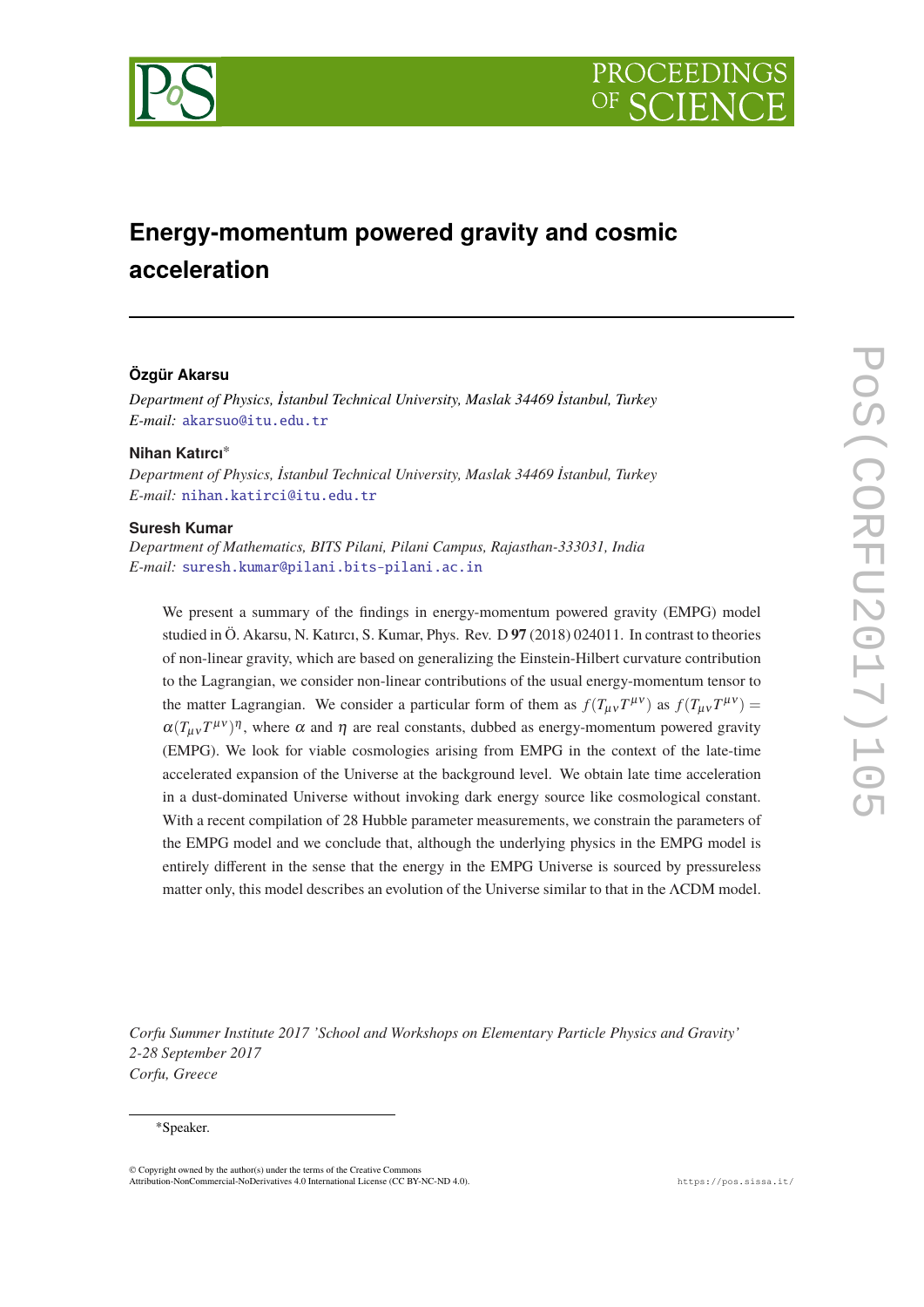



# **Energy-momentum powered gravity and cosmic acceleration**

## **Özgür Akarsu**

*Department of Physics, İstanbul Technical University, Maslak 34469 İstanbul, Turkey E-mail:* [akarsuo@itu.edu.tr](mailto:akarsuo@itu.edu.tr)

## **Nihan Katırcı**<sup>∗</sup>

*Department of Physics, İstanbul Technical University, Maslak 34469 İstanbul, Turkey E-mail:* [nihan.katirci@itu.edu.tr](mailto:nihan.katirci@itu.edu.tr)

#### **Suresh Kumar**

*Department of Mathematics, BITS Pilani, Pilani Campus, Rajasthan-333031, India E-mail:* [suresh.kumar@pilani.bits-pilani.ac.in](mailto:suresh.kumar@pilani.bits-pilani.ac.in)

We present a summary of the findings in energy-momentum powered gravity (EMPG) model studied in Ö. Akarsu, N. Katırcı, S. Kumar, Phys. Rev. D **97** (2018) 024011. In contrast to theories of non-linear gravity, which are based on generalizing the Einstein-Hilbert curvature contribution to the Lagrangian, we consider non-linear contributions of the usual energy-momentum tensor to the matter Lagrangian. We consider a particular form of them as  $f(T_{\mu\nu}T^{\mu\nu})$  as  $f(T_{\mu\nu}T^{\mu\nu}) =$  $\alpha(T_{\mu\nu}T^{\mu\nu})^{\eta}$ , where  $\alpha$  and  $\eta$  are real constants, dubbed as energy-momentum powered gravity (EMPG). We look for viable cosmologies arising from EMPG in the context of the late-time accelerated expansion of the Universe at the background level. We obtain late time acceleration in a dust-dominated Universe without invoking dark energy source like cosmological constant. With a recent compilation of 28 Hubble parameter measurements, we constrain the parameters of the EMPG model and we conclude that, although the underlying physics in the EMPG model is entirely different in the sense that the energy in the EMPG Universe is sourced by pressureless matter only, this model describes an evolution of the Universe similar to that in the ΛCDM model.

*Corfu Summer Institute 2017 'School and Workshops on Elementary Particle Physics and Gravity' 2-28 September 2017 Corfu, Greece*

#### <sup>∗</sup>Speaker.

© Copyright owned by the author(s) under the terms of the Creative Commons Attribution-NonCommercial-NoDerivatives 4.0 International License (CC BY-NC-ND 4.0). https://pos.sissa.it/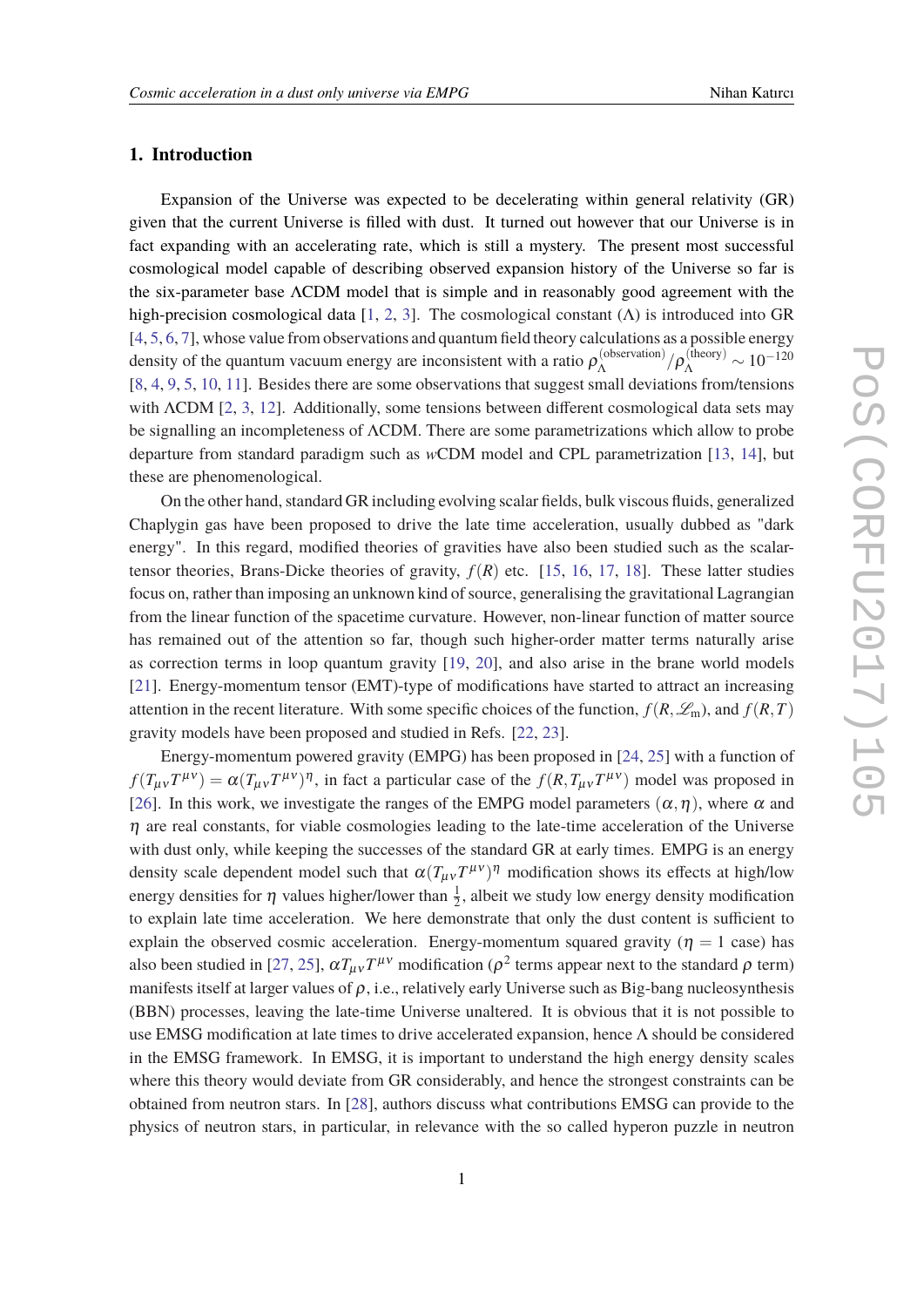## **1. Introduction**

Expansion of the Universe was expected to be decelerating within general relativity (GR) given that the current Universe is filled with dust. It turned out however that our Universe is in fact expanding with an accelerating rate, which is still a mystery. The present most successful cosmological model capable of describing observed expansion history of the Universe so far is the six-parameter base ΛCDM model that is simple and in reasonably good agreement with the high-precision cosmological data  $[1, 2, 3]$  $[1, 2, 3]$  $[1, 2, 3]$  $[1, 2, 3]$  $[1, 2, 3]$ . The cosmological constant  $(\Lambda)$  is introduced into GR [[4](#page-7-0), [5](#page-7-0), [6](#page-7-0), [7](#page-7-0)], whose value from observations and quantum field theory calculations as a possible energy density of the quantum vacuum energy are inconsistent with a ratio  $\rho_{\Lambda}^{(\text{observation})}$  $\lambda_{\Lambda}^{(\text{observation})}/\rho_{\Lambda}^{(\text{theory})} \sim 10^{-120}$ [[8](#page-7-0), [4,](#page-7-0) [9,](#page-7-0) [5](#page-7-0), [10](#page-7-0), [11](#page-7-0)]. Besides there are some observations that suggest small deviations from/tensions with ΛCDM [[2](#page-7-0), [3](#page-7-0), [12\]](#page-8-0). Additionally, some tensions between different cosmological data sets may be signalling an incompleteness of ΛCDM. There are some parametrizations which allow to probe departure from standard paradigm such as *w*CDM model and CPL parametrization [[13,](#page-8-0) [14\]](#page-8-0), but these are phenomenological.

On the other hand, standard GR including evolving scalar fields, bulk viscous fluids, generalized Chaplygin gas have been proposed to drive the late time acceleration, usually dubbed as "dark energy". In this regard, modified theories of gravities have also been studied such as the scalartensor theories, Brans-Dicke theories of gravity,  $f(R)$  etc. [[15,](#page-8-0) [16](#page-8-0), [17](#page-8-0), [18](#page-8-0)]. These latter studies focus on, rather than imposing an unknown kind of source, generalising the gravitational Lagrangian from the linear function of the spacetime curvature. However, non-linear function of matter source has remained out of the attention so far, though such higher-order matter terms naturally arise as correction terms in loop quantum gravity [\[19,](#page-8-0) [20](#page-8-0)], and also arise in the brane world models [[21\]](#page-8-0). Energy-momentum tensor (EMT)-type of modifications have started to attract an increasing attention in the recent literature. With some specific choices of the function,  $f(R, \mathscr{L}_m)$ , and  $f(R, T)$ gravity models have been proposed and studied in Refs. [\[22](#page-8-0), [23\]](#page-8-0).

Energy-momentum powered gravity (EMPG) has been proposed in [\[24](#page-8-0), [25](#page-8-0)] with a function of  $f(T_{\mu\nu}T^{\mu\nu}) = \alpha(T_{\mu\nu}T^{\mu\nu})^{\eta}$ , in fact a particular case of the  $f(R, T_{\mu\nu}T^{\mu\nu})$  model was proposed in [[26\]](#page-8-0). In this work, we investigate the ranges of the EMPG model parameters  $(\alpha, \eta)$ , where  $\alpha$  and  $\eta$  are real constants, for viable cosmologies leading to the late-time acceleration of the Universe with dust only, while keeping the successes of the standard GR at early times. EMPG is an energy density scale dependent model such that  $\alpha(T_{\mu\nu}T^{\mu\nu})^{\eta}$  modification shows its effects at high/low energy densities for  $\eta$  values higher/lower than  $\frac{1}{2}$ , albeit we study low energy density modification to explain late time acceleration. We here demonstrate that only the dust content is sufficient to explain the observed cosmic acceleration. Energy-momentum squared gravity ( $\eta = 1$  case) has also been studied in [[27,](#page-8-0) [25\]](#page-8-0),  $\alpha T_{\mu\nu}T^{\mu\nu}$  modification ( $\rho^2$  terms appear next to the standard  $\rho$  term) manifests itself at larger values of  $\rho$ , i.e., relatively early Universe such as Big-bang nucleosynthesis (BBN) processes, leaving the late-time Universe unaltered. It is obvious that it is not possible to use EMSG modification at late times to drive accelerated expansion, hence Λ should be considered in the EMSG framework. In EMSG, it is important to understand the high energy density scales where this theory would deviate from GR considerably, and hence the strongest constraints can be obtained from neutron stars. In [\[28](#page-8-0)], authors discuss what contributions EMSG can provide to the physics of neutron stars, in particular, in relevance with the so called hyperon puzzle in neutron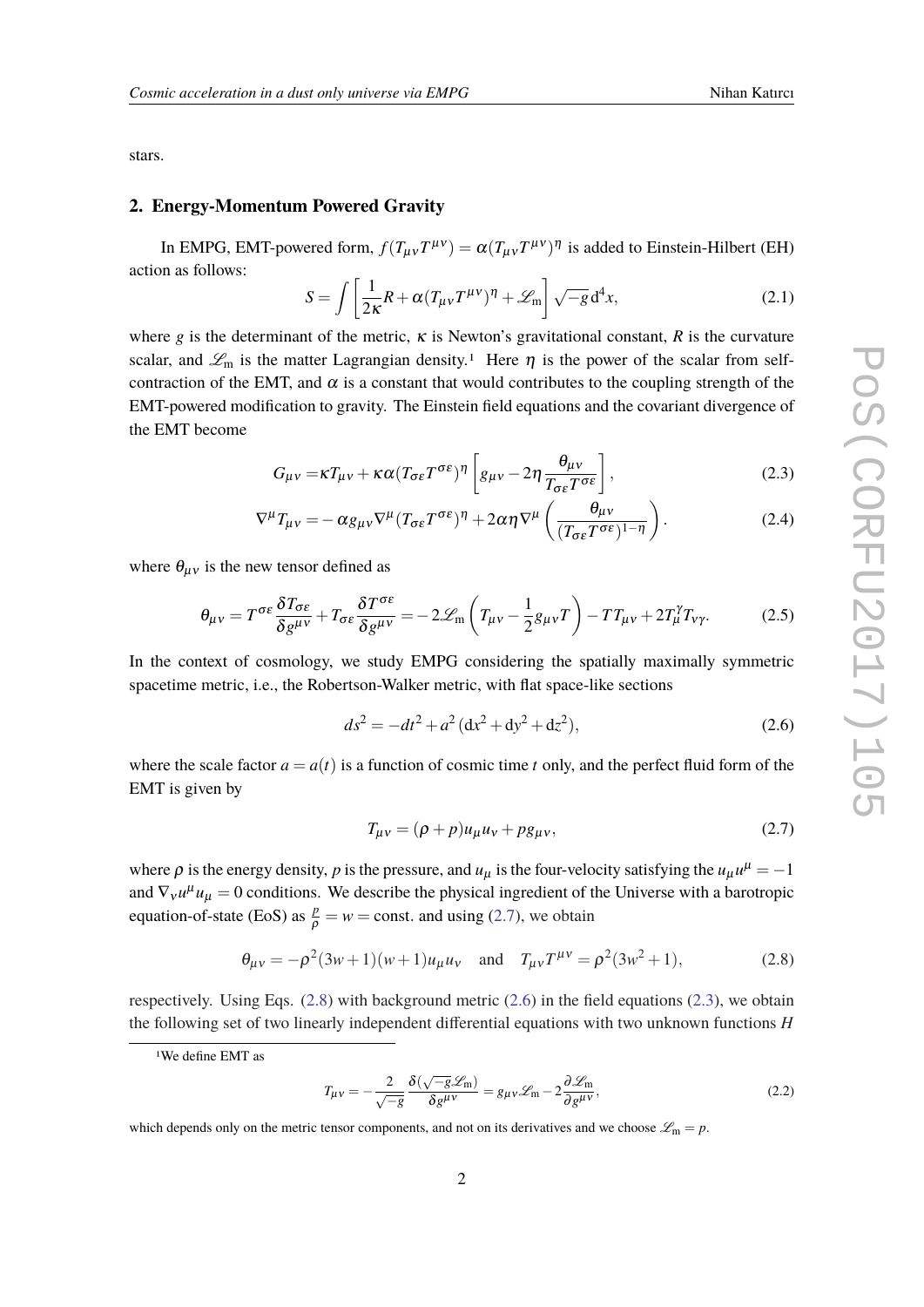<span id="page-2-0"></span>stars.

#### **2. Energy-Momentum Powered Gravity**

In EMPG, EMT-powered form,  $f(T_{\mu\nu}T^{\mu\nu}) = \alpha(T_{\mu\nu}T^{\mu\nu})^{\eta}$  is added to Einstein-Hilbert (EH) action as follows:

$$
S = \int \left[ \frac{1}{2\kappa} R + \alpha (T_{\mu\nu} T^{\mu\nu})^{\eta} + \mathcal{L}_{\rm m} \right] \sqrt{-g} \, d^4 x,\tag{2.1}
$$

where *g* is the determinant of the metric,  $\kappa$  is Newton's gravitational constant,  $R$  is the curvature scalar, and  $\mathcal{L}_m$  is the matter Lagrangian density.<sup>1</sup> Here  $\eta$  is the power of the scalar from selfcontraction of the EMT, and  $\alpha$  is a constant that would contributes to the coupling strength of the EMT-powered modification to gravity. The Einstein field equations and the covariant divergence of the EMT become

$$
G_{\mu\nu} = \kappa T_{\mu\nu} + \kappa \alpha (T_{\sigma\epsilon} T^{\sigma\epsilon})^{\eta} \left[ g_{\mu\nu} - 2\eta \frac{\theta_{\mu\nu}}{T_{\sigma\epsilon} T^{\sigma\epsilon}} \right],
$$
 (2.3)

$$
\nabla^{\mu}T_{\mu\nu} = -\alpha g_{\mu\nu}\nabla^{\mu}(T_{\sigma\epsilon}T^{\sigma\epsilon})^{\eta} + 2\alpha\eta\nabla^{\mu}\left(\frac{\theta_{\mu\nu}}{(T_{\sigma\epsilon}T^{\sigma\epsilon})^{1-\eta}}\right). \tag{2.4}
$$

where  $\theta_{\mu\nu}$  is the new tensor defined as

$$
\theta_{\mu\nu} = T^{\sigma\varepsilon} \frac{\delta T_{\sigma\varepsilon}}{\delta g^{\mu\nu}} + T_{\sigma\varepsilon} \frac{\delta T^{\sigma\varepsilon}}{\delta g^{\mu\nu}} = -2\mathcal{L}_{\rm m} \left( T_{\mu\nu} - \frac{1}{2} g_{\mu\nu} T \right) - T T_{\mu\nu} + 2T_{\mu}^{\gamma} T_{\nu\gamma}.
$$
 (2.5)

In the context of cosmology, we study EMPG considering the spatially maximally symmetric spacetime metric, i.e., the Robertson-Walker metric, with flat space-like sections

$$
ds^2 = -dt^2 + a^2 \left( dx^2 + dy^2 + dz^2 \right),\tag{2.6}
$$

where the scale factor  $a = a(t)$  is a function of cosmic time *t* only, and the perfect fluid form of the EMT is given by

$$
T_{\mu\nu} = (\rho + p)u_{\mu}u_{\nu} + pg_{\mu\nu},\tag{2.7}
$$

where  $\rho$  is the energy density,  $p$  is the pressure, and  $u_{\mu}$  is the four-velocity satisfying the  $u_{\mu}u^{\mu} = -1$ and  $\nabla_{v}u^{\mu}u_{\mu} = 0$  conditions. We describe the physical ingredient of the Universe with a barotropic equation-of-state (EoS) as  $\frac{p}{\rho} = w = \text{const.}$  and using (2.7), we obtain

$$
\theta_{\mu\nu} = -\rho^2 (3w+1)(w+1) u_{\mu} u_{\nu} \quad \text{and} \quad T_{\mu\nu} T^{\mu\nu} = \rho^2 (3w^2+1), \tag{2.8}
$$

respectively. Using Eqs. (2.8) with background metric (2.6) in the field equations (2.3), we obtain the following set of two linearly independent differential equations with two unknown functions *H*

$$
T_{\mu\nu} = -\frac{2}{\sqrt{-g}} \frac{\delta(\sqrt{-g}\mathscr{L}_{\rm m})}{\delta g^{\mu\nu}} = g_{\mu\nu}\mathscr{L}_{\rm m} - 2\frac{\partial \mathscr{L}_{\rm m}}{\partial g^{\mu\nu}},\tag{2.2}
$$

<sup>1</sup>We define EMT as

which depends only on the metric tensor components, and not on its derivatives and we choose  $\mathcal{L}_m = p$ .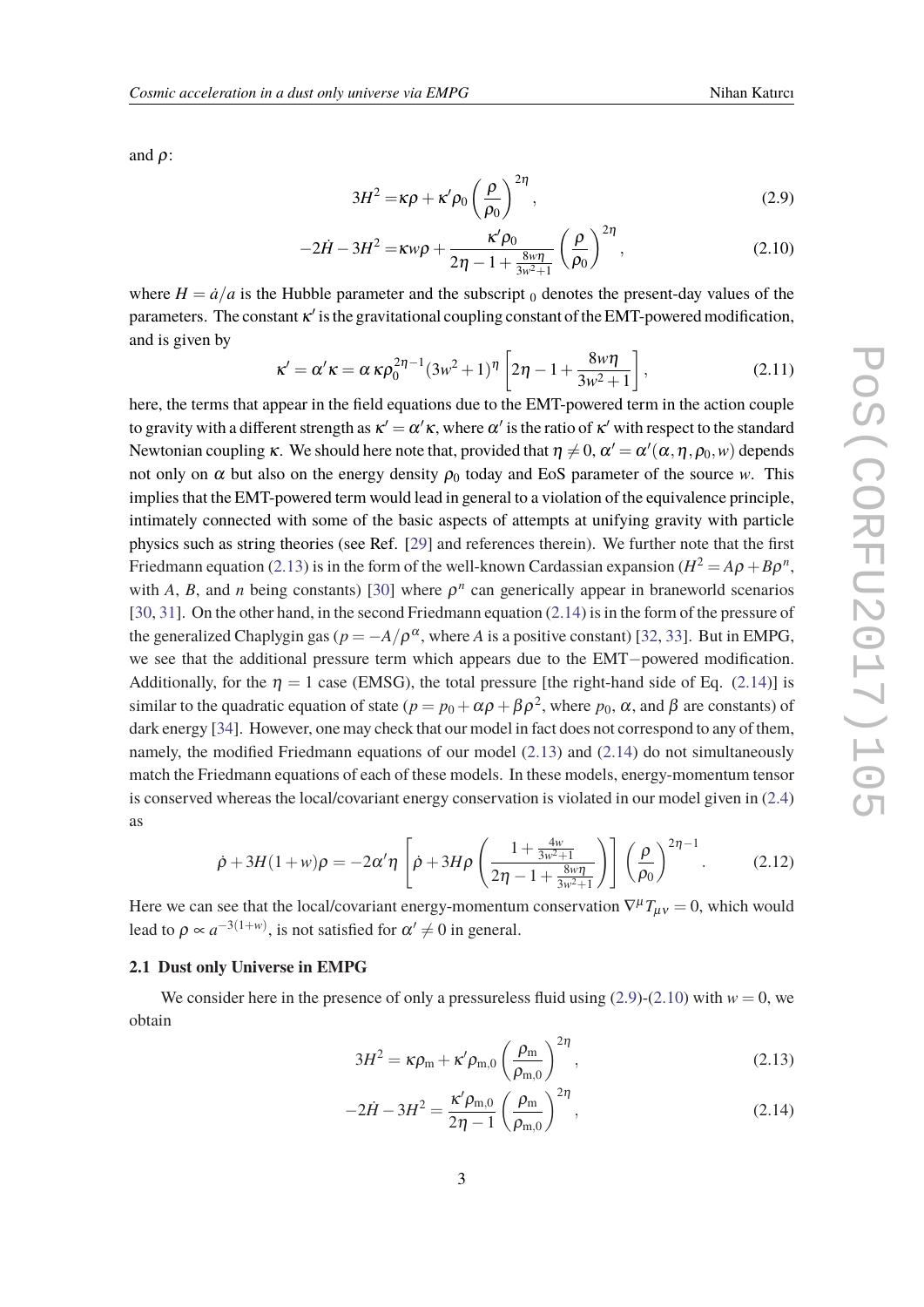<span id="page-3-0"></span>and  $\rho$ :

$$
3H^2 = \kappa \rho + \kappa' \rho_0 \left(\frac{\rho}{\rho_0}\right)^{2\eta},\tag{2.9}
$$

$$
-2\dot{H} - 3H^2 = \kappa w\rho + \frac{\kappa' \rho_0}{2\eta - 1 + \frac{8w\eta}{3w^2 + 1}} \left(\frac{\rho}{\rho_0}\right)^{2\eta},
$$
\n(2.10)

where  $H = \dot{a}/a$  is the Hubble parameter and the subscript  $\theta$  denotes the present-day values of the parameters. The constant  $\kappa'$  is the gravitational coupling constant of the EMT-powered modification, and is given by

$$
\kappa' = \alpha' \kappa = \alpha \kappa \rho_0^{2\eta - 1} (3w^2 + 1)^\eta \left[ 2\eta - 1 + \frac{8w\eta}{3w^2 + 1} \right],
$$
 (2.11)

here, the terms that appear in the field equations due to the EMT-powered term in the action couple to gravity with a different strength as  $\kappa'=\alpha'\kappa,$  where  $\alpha'$  is the ratio of  $\kappa'$  with respect to the standard Newtonian coupling  $\kappa$ . We should here note that, provided that  $\eta\neq 0,$   $\alpha'=\alpha'(\alpha,\eta,\rho_0,\omega)$  depends not only on  $\alpha$  but also on the energy density  $\rho_0$  today and EoS parameter of the source *w*. This implies that the EMT-powered term would lead in general to a violation of the equivalence principle, intimately connected with some of the basic aspects of attempts at unifying gravity with particle physics such as string theories (see Ref. [\[29](#page-8-0)] and references therein). We further note that the first Friedmann equation (2.13) is in the form of the well-known Cardassian expansion ( $H^2 = A\rho + B\rho^n$ , with *A*, *B*, and *n* being constants) [\[30](#page-8-0)] where  $\rho^n$  can generically appear in braneworld scenarios [[30,](#page-8-0) [31\]](#page-8-0). On the other hand, in the second Friedmann equation (2.14) is in the form of the pressure of the generalized Chaplygin gas ( $p = -A/\rho^{\alpha}$ , where *A* is a positive constant) [\[32](#page-9-0), [33\]](#page-9-0). But in EMPG, we see that the additional pressure term which appears due to the EMT−powered modification. Additionally, for the  $\eta = 1$  case (EMSG), the total pressure [the right-hand side of Eq. (2.14)] is similar to the quadratic equation of state ( $p = p_0 + \alpha \rho + \beta \rho^2$ , where  $p_0$ , α, and β are constants) of dark energy [[34\]](#page-9-0). However, one may check that our model in fact does not correspond to any of them, namely, the modified Friedmann equations of our model (2.13) and (2.14) do not simultaneously match the Friedmann equations of each of these models. In these models, energy-momentum tensor is conserved whereas the local/covariant energy conservation is violated in our model given in ([2.4](#page-2-0)) as

$$
\dot{\rho} + 3H(1+w)\rho = -2\alpha'\eta \left[\dot{\rho} + 3H\rho \left(\frac{1 + \frac{4w}{3w^2 + 1}}{2\eta - 1 + \frac{8w\eta}{3w^2 + 1}}\right)\right] \left(\frac{\rho}{\rho_0}\right)^{2\eta - 1}.\tag{2.12}
$$

Here we can see that the local/covariant energy-momentum conservation  $\nabla^{\mu}T_{\mu\nu} = 0$ , which would lead to  $\rho \propto a^{-3(1+w)}$ , is not satisfied for  $\alpha' \neq 0$  in general.

## **2.1 Dust only Universe in EMPG**

We consider here in the presence of only a pressureless fluid using  $(2.9)-(2.10)$  with  $w = 0$ , we obtain

$$
3H^2 = \kappa \rho_m + \kappa' \rho_{m,0} \left(\frac{\rho_m}{\rho_{m,0}}\right)^{2\eta},\qquad(2.13)
$$

$$
-2\dot{H} - 3H^2 = \frac{\kappa' \rho_{m,0}}{2\eta - 1} \left(\frac{\rho_m}{\rho_{m,0}}\right)^{2\eta},
$$
\n(2.14)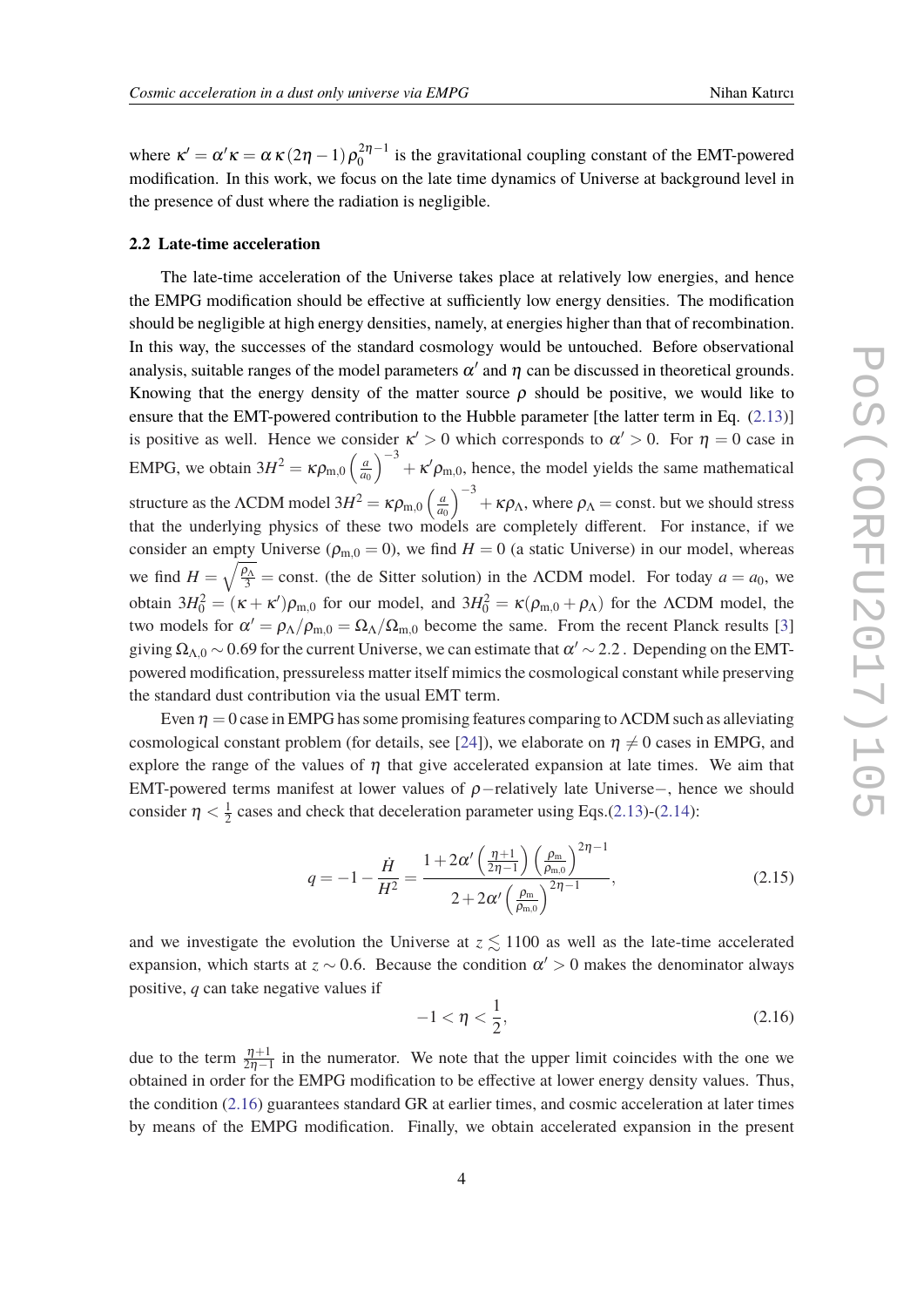<span id="page-4-0"></span>where  $\kappa' = \alpha' \kappa = \alpha \kappa (2\eta - 1) \rho_0^{2\eta - 1}$  $\frac{2n-1}{0}$  is the gravitational coupling constant of the EMT-powered modification. In this work, we focus on the late time dynamics of Universe at background level in the presence of dust where the radiation is negligible.

#### **2.2 Late-time acceleration**

The late-time acceleration of the Universe takes place at relatively low energies, and hence the EMPG modification should be effective at sufficiently low energy densities. The modification should be negligible at high energy densities, namely, at energies higher than that of recombination. In this way, the successes of the standard cosmology would be untouched. Before observational analysis, suitable ranges of the model parameters  $\alpha'$  and  $\eta$  can be discussed in theoretical grounds. Knowing that the energy density of the matter source  $\rho$  should be positive, we would like to ensure that the EMT-powered contribution to the Hubble parameter [the latter term in Eq. ([2.13\)](#page-3-0)] is positive as well. Hence we consider  $\kappa' > 0$  which corresponds to  $\alpha' > 0$ . For  $\eta = 0$  case in EMPG, we obtain  $3H^2 = \kappa \rho_{\text{m},0} \left( \frac{a}{a} \right)$ *a*0  $\int_{0}^{-3} + \kappa' \rho_{m,0}$ , hence, the model yields the same mathematical structure as the  $\Lambda$ CDM model  $3H^2 = \kappa \rho_{\text{m},0} \left( \frac{a}{a} \right)$ *a*0  $\int^{-3} + \kappa \rho_{\Lambda}$ , where  $\rho_{\Lambda} =$  const. but we should stress that the underlying physics of these two models are completely different. For instance, if we consider an empty Universe ( $\rho_{m,0} = 0$ ), we find  $H = 0$  (a static Universe) in our model, whereas we find  $H = \sqrt{\frac{\rho_A}{3}}$  = const. (the de Sitter solution) in the ΛCDM model. For today  $a = a_0$ , we obtain  $3H_0^2 = (\kappa + \kappa')\rho_{\text{m},0}$  for our model, and  $3H_0^2 = \kappa(\rho_{\text{m},0} + \rho_\Lambda)$  for the  $\Lambda$ CDM model, the two models for  $\alpha' = \rho_A/\rho_{m,0} = \Omega_A/\Omega_{m,0}$  become the same. From the recent Planck results [[3](#page-7-0)] giving  $\Omega_{\Lambda,0}$   $\sim$  0.69 for the current Universe, we can estimate that  $\alpha'$   $\sim$  2.2 . Depending on the EMTpowered modification, pressureless matter itself mimics the cosmological constant while preserving the standard dust contribution via the usual EMT term.

Even  $\eta = 0$  case in EMPG has some promising features comparing to  $\Lambda$ CDM such as alleviating cosmological constant problem (for details, see [[24\]](#page-8-0)), we elaborate on  $\eta \neq 0$  cases in EMPG, and explore the range of the values of  $\eta$  that give accelerated expansion at late times. We aim that EMT-powered terms manifest at lower values of  $\rho$ -relatively late Universe–, hence we should consider  $\eta < \frac{1}{2}$  $\frac{1}{2}$  cases and check that deceleration parameter using Eqs.([2.13\)](#page-3-0)-([2.14\)](#page-3-0):

$$
q = -1 - \frac{\dot{H}}{H^2} = \frac{1 + 2\alpha' \left(\frac{\eta + 1}{2\eta - 1}\right) \left(\frac{\rho_m}{\rho_{m,0}}\right)^{2\eta - 1}}{2 + 2\alpha' \left(\frac{\rho_m}{\rho_{m,0}}\right)^{2\eta - 1}},
$$
(2.15)

and we investigate the evolution the Universe at  $z \leq 1100$  as well as the late-time accelerated expansion, which starts at  $z \sim 0.6$ . Because the condition  $\alpha' > 0$  makes the denominator always positive, *q* can take negative values if

$$
-1 < \eta < \frac{1}{2},\tag{2.16}
$$

due to the term  $\frac{\eta+1}{2\eta-1}$  in the numerator. We note that the upper limit coincides with the one we obtained in order for the EMPG modification to be effective at lower energy density values. Thus, the condition (2.16) guarantees standard GR at earlier times, and cosmic acceleration at later times by means of the EMPG modification. Finally, we obtain accelerated expansion in the present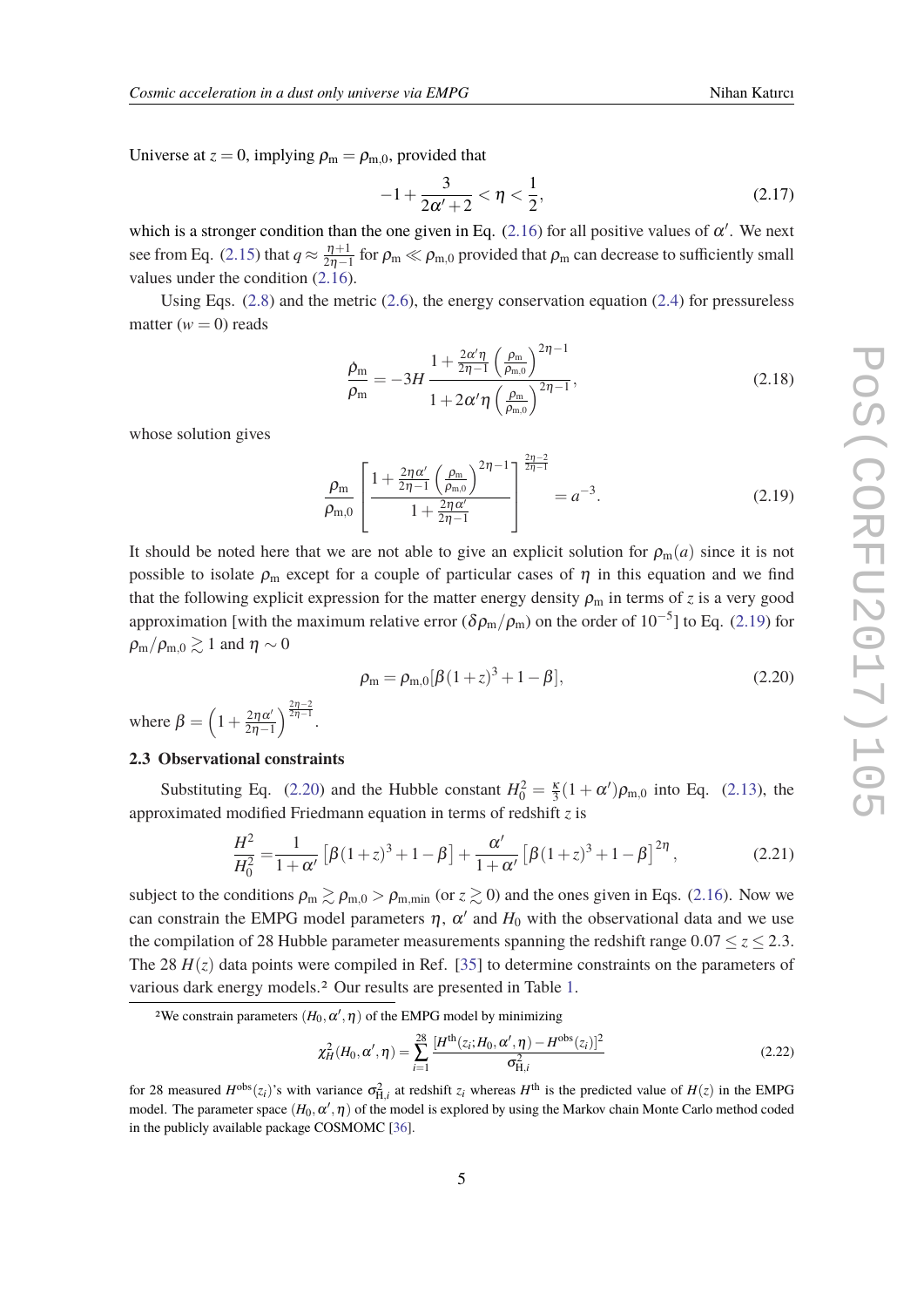<span id="page-5-0"></span>Universe at  $z = 0$ , implying  $\rho_m = \rho_{m,0}$ , provided that

$$
-1 + \frac{3}{2\alpha' + 2} < \eta < \frac{1}{2},\tag{2.17}
$$

which is a stronger condition than the one given in Eq.  $(2.16)$  $(2.16)$  for all positive values of  $\alpha'$ . We next see from Eq. [\(2.15](#page-4-0)) that  $q \approx \frac{\eta+1}{2n-1}$  $\frac{\eta+1}{2\eta-1}$  for  $\rho_m \ll \rho_{m,0}$  provided that  $\rho_m$  can decrease to sufficiently small values under the condition ([2.16\)](#page-4-0).

Using Eqs. ([2.8](#page-2-0)) and the metric ([2.6](#page-2-0)), the energy conservation equation ([2.4](#page-2-0)) for pressureless matter  $(w = 0)$  reads

$$
\frac{\dot{\rho}_{\rm m}}{\rho_{\rm m}} = -3H \frac{1 + \frac{2\alpha'\eta}{2\eta - 1} \left(\frac{\rho_{\rm m}}{\rho_{\rm m,0}}\right)^{2\eta - 1}}{1 + 2\alpha'\eta \left(\frac{\rho_{\rm m}}{\rho_{\rm m,0}}\right)^{2\eta - 1}},
$$
\n(2.18)

whose solution gives

$$
\frac{\rho_{\rm m}}{\rho_{\rm m,0}} \left[ \frac{1 + \frac{2\eta \alpha'}{2\eta - 1} \left(\frac{\rho_{\rm m}}{\rho_{\rm m,0}}\right)^{2\eta - 1}}{1 + \frac{2\eta \alpha'}{2\eta - 1}} \right]_{\text{max}}^{\frac{2\eta - 2}{2\eta - 1}} = a^{-3}.
$$
\n(2.19)

It should be noted here that we are not able to give an explicit solution for  $\rho_m(a)$  since it is not possible to isolate  $\rho_m$  except for a couple of particular cases of  $\eta$  in this equation and we find that the following explicit expression for the matter energy density  $\rho_m$  in terms of *z* is a very good approximation [with the maximum relative error ( $\delta \rho_{\rm m}/\rho_{\rm m}$ ) on the order of  $10^{-5}$ ] to Eq. (2.19) for  $\rho_{\rm m}/\rho_{\rm m,0} \gtrsim 1$  and  $\eta \sim 0$ 

$$
\rho_{\rm m} = \rho_{\rm m,0} [\beta (1+z)^3 + 1 - \beta], \tag{2.20}
$$

where  $\beta = \left(1 + \frac{2\eta \alpha'}{2n-1}\right)$ 2η−1  $\bigg\{\frac{2n-2}{2n-1}.$ 

## **2.3 Observational constraints**

Substituting Eq. (2.20) and the Hubble constant  $H_0^2 = \frac{\kappa}{3}(1 + \alpha')\rho_{\text{m},0}$  into Eq. ([2.13\)](#page-3-0), the approximated modified Friedmann equation in terms of redshift *z* is

$$
\frac{H^2}{H_0^2} = \frac{1}{1+\alpha'} \left[ \beta (1+z)^3 + 1 - \beta \right] + \frac{\alpha'}{1+\alpha'} \left[ \beta (1+z)^3 + 1 - \beta \right]^{2\eta},\tag{2.21}
$$

subject to the conditions  $\rho_m \gtrsim \rho_{m,0} > \rho_{m,\text{min}}$  (or  $z \gtrsim 0$ ) and the ones given in Eqs. ([2.16\)](#page-4-0). Now we can constrain the EMPG model parameters  $\eta$ ,  $\alpha'$  and  $H_0$  with the observational data and we use the compilation of 28 Hubble parameter measurements spanning the redshift range  $0.07 \le z \le 2.3$ . The 28  $H(z)$  data points were compiled in Ref. [[35\]](#page-9-0) to determine constraints on the parameters of various dark energy models.2 Our results are presented in Table [1](#page-6-0).

$$
\chi_H^2(H_0, \alpha', \eta) = \sum_{i=1}^{28} \frac{[H^{\text{th}}(z_i; H_0, \alpha', \eta) - H^{\text{obs}}(z_i)]^2}{\sigma_{\text{H},i}^2}
$$
(2.22)

for 28 measured  $H^{obs}(z_i)$ 's with variance  $\sigma_{H,i}^2$  at redshift  $z_i$  whereas  $H^{th}$  is the predicted value of  $H(z)$  in the EMPG model. The parameter space  $(H_0, \alpha',\eta)$  of the model is explored by using the Markov chain Monte Carlo method coded in the publicly available package COSMOMC [\[36](#page-9-0)].

<sup>&</sup>lt;sup>2</sup>We constrain parameters  $(H_0, \alpha', \eta)$  of the EMPG model by minimizing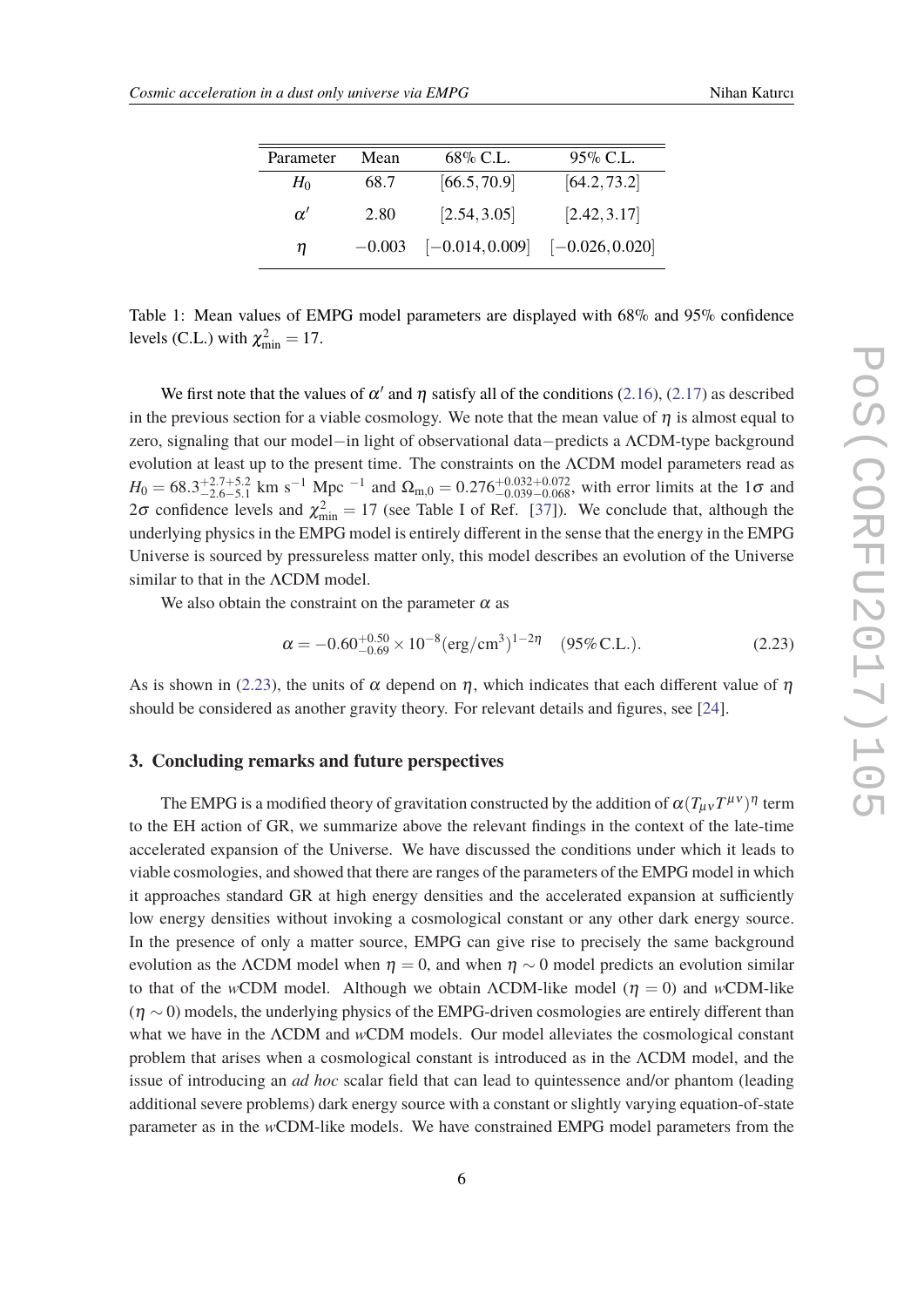<span id="page-6-0"></span>

| Parameter | Mean     | 68% C.L.          | $95\%$ C.L.       |
|-----------|----------|-------------------|-------------------|
| $H_0$     | 68.7     | [66.5, 70.9]      | [64.2, 73.2]      |
| $\alpha'$ | 2.80     | [2.54, 3.05]      | [2.42, 3.17]      |
| η         | $-0.003$ | $[-0.014, 0.009]$ | $[-0.026, 0.020]$ |

Table 1: Mean values of EMPG model parameters are displayed with 68% and 95% confidence levels (C.L.) with  $\chi^2_{\text{min}} = 17$ .

We first note that the values of  $\alpha'$  and  $\eta$  satisfy all of the conditions ([2.16\)](#page-4-0), [\(2.17](#page-5-0)) as described in the previous section for a viable cosmology. We note that the mean value of  $n$  is almost equal to zero, signaling that our model−in light of observational data−predicts a ΛCDM-type background evolution at least up to the present time. The constraints on the ΛCDM model parameters read as  $H_0 = 68.3^{+2.7+5.2}_{-2.6-5.1}$  km s<sup>-1</sup> Mpc <sup>-1</sup> and  $\Omega_{\text{m},0} = 0.276^{+0.032+0.072}_{-0.039-0.068}$ , with error limits at the 1 $\sigma$  and 2 $\sigma$  confidence levels and  $\chi^2_{\rm min} = 17$  (see Table I of Ref. [[37\]](#page-9-0)). We conclude that, although the underlying physics in the EMPG model is entirely different in the sense that the energy in the EMPG Universe is sourced by pressureless matter only, this model describes an evolution of the Universe similar to that in the ΛCDM model.

We also obtain the constraint on the parameter  $\alpha$  as

$$
\alpha = -0.60^{+0.50}_{-0.69} \times 10^{-8} \, (\text{erg/cm}^3)^{1-2\eta} \quad (95\% \text{ C.L.}). \tag{2.23}
$$

As is shown in (2.23), the units of  $\alpha$  depend on  $\eta$ , which indicates that each different value of  $\eta$ should be considered as another gravity theory. For relevant details and figures, see [[24\]](#page-8-0).

### **3. Concluding remarks and future perspectives**

The EMPG is a modified theory of gravitation constructed by the addition of  $\alpha(T_{\mu\nu}T^{\mu\nu})^\eta$  term to the EH action of GR, we summarize above the relevant findings in the context of the late-time accelerated expansion of the Universe. We have discussed the conditions under which it leads to viable cosmologies, and showed that there are ranges of the parameters of the EMPG model in which it approaches standard GR at high energy densities and the accelerated expansion at sufficiently low energy densities without invoking a cosmological constant or any other dark energy source. In the presence of only a matter source, EMPG can give rise to precisely the same background evolution as the ΛCDM model when  $\eta = 0$ , and when  $\eta \sim 0$  model predicts an evolution similar to that of the *w*CDM model. Although we obtain  $\Lambda$ CDM-like model ( $\eta = 0$ ) and *w*CDM-like  $(\eta \sim 0)$  models, the underlying physics of the EMPG-driven cosmologies are entirely different than what we have in the ΛCDM and *w*CDM models. Our model alleviates the cosmological constant problem that arises when a cosmological constant is introduced as in the ΛCDM model, and the issue of introducing an *ad hoc* scalar field that can lead to quintessence and/or phantom (leading additional severe problems) dark energy source with a constant or slightly varying equation-of-state parameter as in the *w*CDM-like models. We have constrained EMPG model parameters from the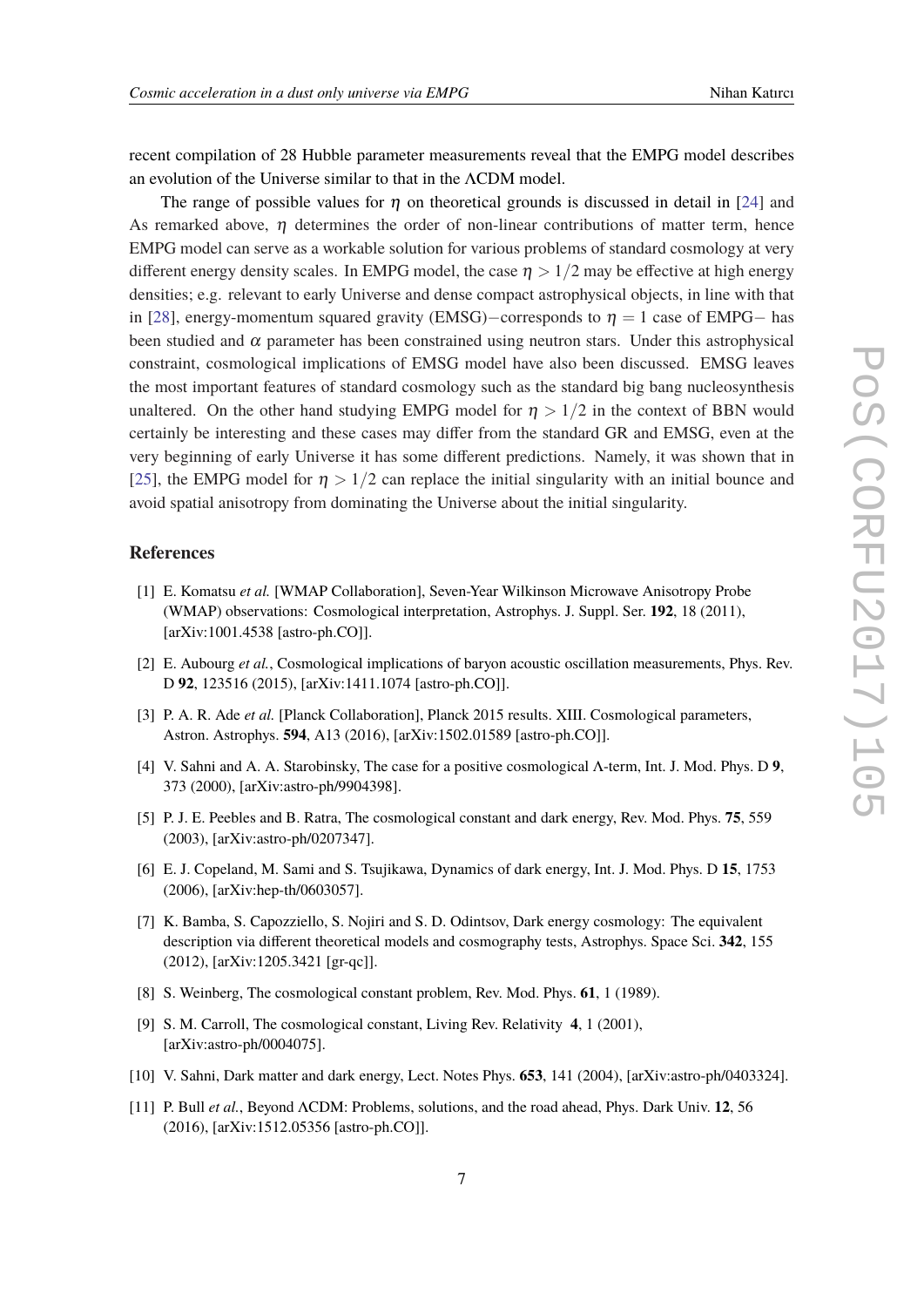<span id="page-7-0"></span>recent compilation of 28 Hubble parameter measurements reveal that the EMPG model describes an evolution of the Universe similar to that in the ΛCDM model.

The range of possible values for  $\eta$  on theoretical grounds is discussed in detail in [[24\]](#page-8-0) and As remarked above,  $\eta$  determines the order of non-linear contributions of matter term, hence EMPG model can serve as a workable solution for various problems of standard cosmology at very different energy density scales. In EMPG model, the case  $\eta > 1/2$  may be effective at high energy densities; e.g. relevant to early Universe and dense compact astrophysical objects, in line with that in [[28\]](#page-8-0), energy-momentum squared gravity (EMSG)–corresponds to  $\eta = 1$  case of EMPG– has been studied and  $\alpha$  parameter has been constrained using neutron stars. Under this astrophysical constraint, cosmological implications of EMSG model have also been discussed. EMSG leaves the most important features of standard cosmology such as the standard big bang nucleosynthesis unaltered. On the other hand studying EMPG model for  $\eta > 1/2$  in the context of BBN would certainly be interesting and these cases may differ from the standard GR and EMSG, even at the very beginning of early Universe it has some different predictions. Namely, it was shown that in [[25\]](#page-8-0), the EMPG model for  $\eta > 1/2$  can replace the initial singularity with an initial bounce and avoid spatial anisotropy from dominating the Universe about the initial singularity.

### **References**

- [1] E. Komatsu *et al.* [WMAP Collaboration], Seven-Year Wilkinson Microwave Anisotropy Probe (WMAP) observations: Cosmological interpretation, Astrophys. J. Suppl. Ser. **192**, 18 (2011), [arXiv:1001.4538 [astro-ph.CO]].
- [2] E. Aubourg *et al.*, Cosmological implications of baryon acoustic oscillation measurements, Phys. Rev. D **92**, 123516 (2015), [arXiv:1411.1074 [astro-ph.CO]].
- [3] P. A. R. Ade *et al.* [Planck Collaboration], Planck 2015 results. XIII. Cosmological parameters, Astron. Astrophys. **594**, A13 (2016), [arXiv:1502.01589 [astro-ph.CO]].
- [4] V. Sahni and A. A. Starobinsky, The case for a positive cosmological Λ-term, Int. J. Mod. Phys. D **9**, 373 (2000), [arXiv:astro-ph/9904398].
- [5] P. J. E. Peebles and B. Ratra, The cosmological constant and dark energy, Rev. Mod. Phys. **75**, 559 (2003), [arXiv:astro-ph/0207347].
- [6] E. J. Copeland, M. Sami and S. Tsujikawa, Dynamics of dark energy, Int. J. Mod. Phys. D **15**, 1753 (2006), [arXiv:hep-th/0603057].
- [7] K. Bamba, S. Capozziello, S. Nojiri and S. D. Odintsov, Dark energy cosmology: The equivalent description via different theoretical models and cosmography tests, Astrophys. Space Sci. **342**, 155 (2012), [arXiv:1205.3421 [gr-qc]].
- [8] S. Weinberg, The cosmological constant problem, Rev. Mod. Phys. **61**, 1 (1989).
- [9] S. M. Carroll, The cosmological constant, Living Rev. Relativity **4**, 1 (2001), [arXiv:astro-ph/0004075].
- [10] V. Sahni, Dark matter and dark energy, Lect. Notes Phys. **653**, 141 (2004), [arXiv:astro-ph/0403324].
- [11] P. Bull *et al.*, Beyond ΛCDM: Problems, solutions, and the road ahead, Phys. Dark Univ. **12**, 56 (2016), [arXiv:1512.05356 [astro-ph.CO]].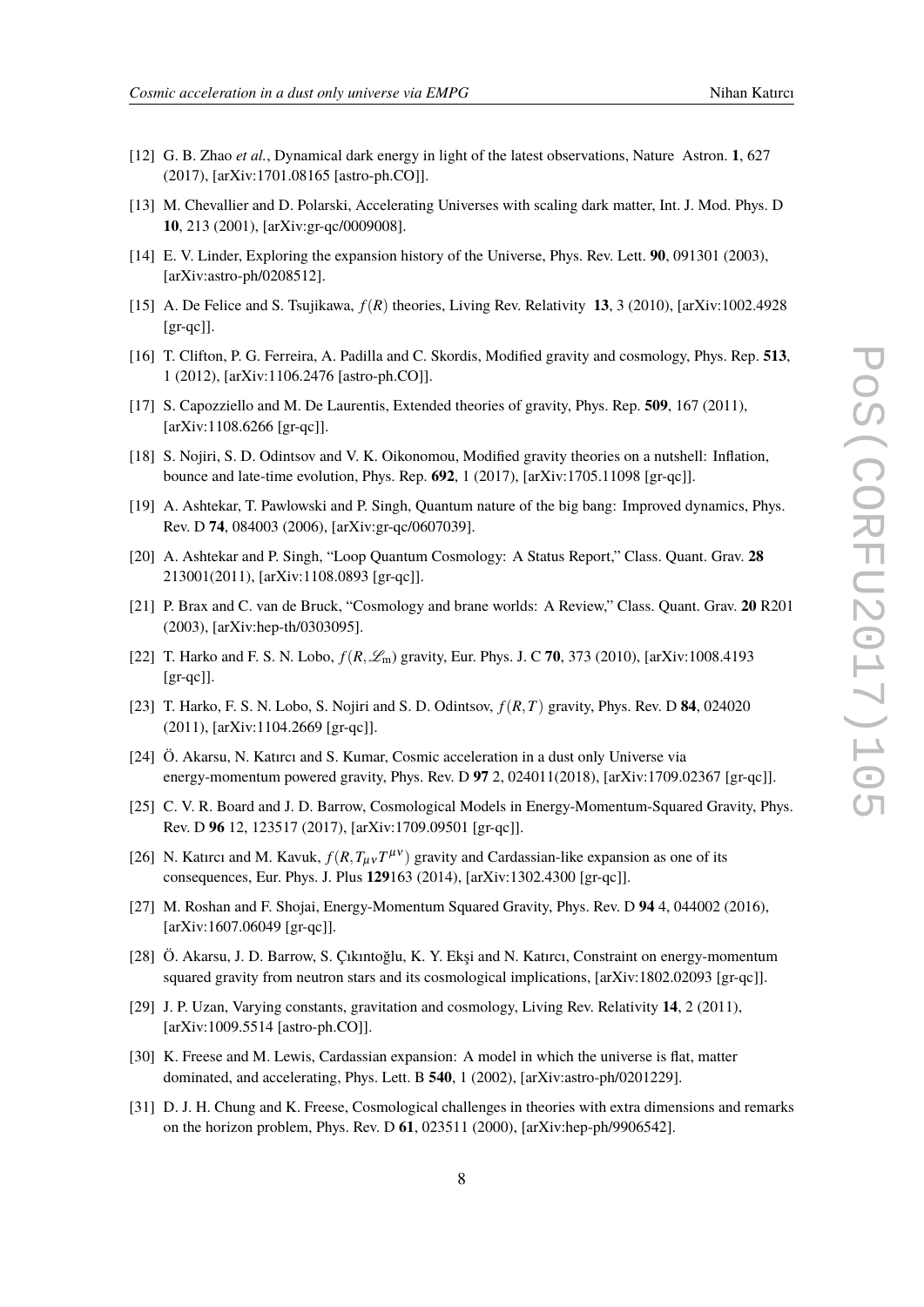- <span id="page-8-0"></span>[12] G. B. Zhao *et al.*, Dynamical dark energy in light of the latest observations, Nature Astron. **1**, 627 (2017), [arXiv:1701.08165 [astro-ph.CO]].
- [13] M. Chevallier and D. Polarski, Accelerating Universes with scaling dark matter, Int. J. Mod. Phys. D **10**, 213 (2001), [arXiv:gr-qc/0009008].
- [14] E. V. Linder, Exploring the expansion history of the Universe, Phys. Rev. Lett. **90**, 091301 (2003), [arXiv:astro-ph/0208512].
- [15] A. De Felice and S. Tsujikawa, *f*(*R*) theories, Living Rev. Relativity **13**, 3 (2010), [arXiv:1002.4928 [gr-qc]].
- [16] T. Clifton, P. G. Ferreira, A. Padilla and C. Skordis, Modified gravity and cosmology, Phys. Rep. **513**, 1 (2012), [arXiv:1106.2476 [astro-ph.CO]].
- [17] S. Capozziello and M. De Laurentis, Extended theories of gravity, Phys. Rep. **509**, 167 (2011), [arXiv:1108.6266 [gr-qc]].
- [18] S. Nojiri, S. D. Odintsov and V. K. Oikonomou, Modified gravity theories on a nutshell: Inflation, bounce and late-time evolution, Phys. Rep. **692**, 1 (2017), [arXiv:1705.11098 [gr-qc]].
- [19] A. Ashtekar, T. Pawlowski and P. Singh, Quantum nature of the big bang: Improved dynamics, Phys. Rev. D **74**, 084003 (2006), [arXiv:gr-qc/0607039].
- [20] A. Ashtekar and P. Singh, "Loop Quantum Cosmology: A Status Report," Class. Quant. Grav. **28** 213001(2011), [arXiv:1108.0893 [gr-qc]].
- [21] P. Brax and C. van de Bruck, "Cosmology and brane worlds: A Review," Class. Quant. Grav. **20** R201 (2003), [arXiv:hep-th/0303095].
- [22] T. Harko and F. S. N. Lobo, *f*(*R*,Lm) gravity, Eur. Phys. J. C **70**, 373 (2010), [arXiv:1008.4193  $[gr-qc]$ ].
- [23] T. Harko, F. S. N. Lobo, S. Nojiri and S. D. Odintsov, *f*(*R*,*T*) gravity, Phys. Rev. D **84**, 024020 (2011), [arXiv:1104.2669 [gr-qc]].
- [24] Ö. Akarsu, N. Katırcı and S. Kumar, Cosmic acceleration in a dust only Universe via energy-momentum powered gravity, Phys. Rev. D **97** 2, 024011(2018), [arXiv:1709.02367 [gr-qc]].
- [25] C. V. R. Board and J. D. Barrow, Cosmological Models in Energy-Momentum-Squared Gravity, Phys. Rev. D **96** 12, 123517 (2017), [arXiv:1709.09501 [gr-qc]].
- [26] N. Katırcı and M. Kavuk,  $f(R, T_{\mu\nu}T^{\mu\nu})$  gravity and Cardassian-like expansion as one of its consequences, Eur. Phys. J. Plus **129**163 (2014), [arXiv:1302.4300 [gr-qc]].
- [27] M. Roshan and F. Shojai, Energy-Momentum Squared Gravity, Phys. Rev. D **94** 4, 044002 (2016), [arXiv:1607.06049 [gr-qc]].
- [28] Ö. Akarsu, J. D. Barrow, S. Çıkıntoğlu, K. Y. Ekşi and N. Katırcı, Constraint on energy-momentum squared gravity from neutron stars and its cosmological implications, [arXiv:1802.02093 [gr-qc]].
- [29] J. P. Uzan, Varying constants, gravitation and cosmology, Living Rev. Relativity **14**, 2 (2011), [arXiv:1009.5514 [astro-ph.CO]].
- [30] K. Freese and M. Lewis, Cardassian expansion: A model in which the universe is flat, matter dominated, and accelerating, Phys. Lett. B **540**, 1 (2002), [arXiv:astro-ph/0201229].
- [31] D. J. H. Chung and K. Freese, Cosmological challenges in theories with extra dimensions and remarks on the horizon problem, Phys. Rev. D **61**, 023511 (2000), [arXiv:hep-ph/9906542].